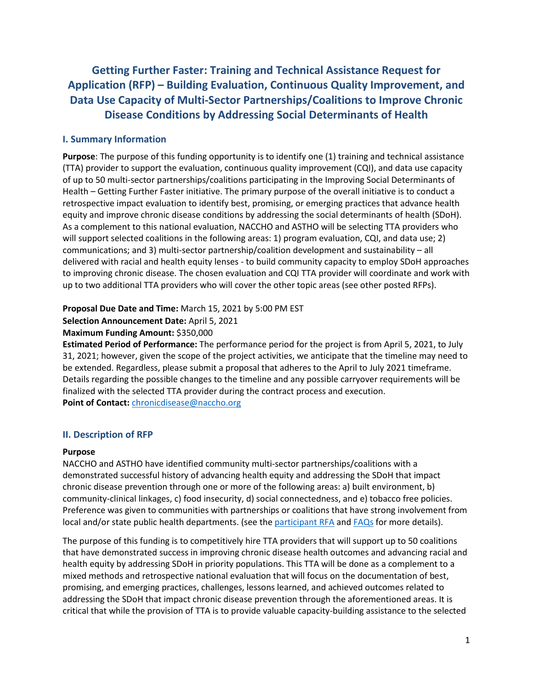**Getting Further Faster: Training and Technical Assistance Request for Application (RFP) – Building Evaluation, Continuous Quality Improvement, and Data Use Capacity of Multi-Sector Partnerships/Coalitions to Improve Chronic Disease Conditions by Addressing Social Determinants of Health**

### **I. Summary Information**

**Purpose**: The purpose of this funding opportunity is to identify one (1) training and technical assistance (TTA) provider to support the evaluation, continuous quality improvement (CQI), and data use capacity of up to 50 multi-sector partnerships/coalitions participating in the Improving Social Determinants of Health – Getting Further Faster initiative. The primary purpose of the overall initiative is to conduct a retrospective impact evaluation to identify best, promising, or emerging practices that advance health equity and improve chronic disease conditions by addressing the social determinants of health (SDoH). As a complement to this national evaluation, NACCHO and ASTHO will be selecting TTA providers who will support selected coalitions in the following areas: 1) program evaluation, CQI, and data use; 2) communications; and 3) multi-sector partnership/coalition development and sustainability – all delivered with racial and health equity lenses - to build community capacity to employ SDoH approaches to improving chronic disease. The chosen evaluation and CQI TTA provider will coordinate and work with up to two additional TTA providers who will cover the other topic areas (see other posted RFPs).

#### **Proposal Due Date and Time:** March 15, 2021 by 5:00 PM EST

#### **Selection Announcement Date:** April 5, 2021

#### **Maximum Funding Amount: \$350,000**

**Estimated Period of Performance:** The performance period for the project is from April 5, 2021, to July 31, 2021; however, given the scope of the project activities, we anticipate that the timeline may need to be extended. Regardless, please submit a proposal that adheres to the April to July 2021 timeframe. Details regarding the possible changes to the timeline and any possible carryover requirements will be finalized with the selected TTA provider during the contract process and execution. **Point of Contact:** [chronicdisease@naccho.org](mailto:chronicdisease@naccho.org)

### **II. Description of RFP**

#### **Purpose**

NACCHO and ASTHO have identified community multi-sector partnerships/coalitions with a demonstrated successful history of advancing health equity and addressing the SDoH that impact chronic disease prevention through one or more of the following areas: a) built environment, b) community-clinical linkages, c) food insecurity, d) social connectedness, and e) tobacco free policies. Preference was given to communities with partnerships or coalitions that have strong involvement from local and/or state public health departments. (see th[e participant RFA](https://www.naccho.org/uploads/downloadable-resources/SDOH-RFP_-FINAL1.pdf) and [FAQs](https://www.naccho.org/uploads/downloadable-resources/Getting-Further-Faster-RFA-FAQs-for-112020.pdf) for more details).

The purpose of this funding is to competitively hire TTA providers that will support up to 50 coalitions that have demonstrated success in improving chronic disease health outcomes and advancing racial and health equity by addressing SDoH in priority populations. This TTA will be done as a complement to a mixed methods and retrospective national evaluation that will focus on the documentation of best, promising, and emerging practices, challenges, lessons learned, and achieved outcomes related to addressing the SDoH that impact chronic disease prevention through the aforementioned areas. It is critical that while the provision of TTA is to provide valuable capacity-building assistance to the selected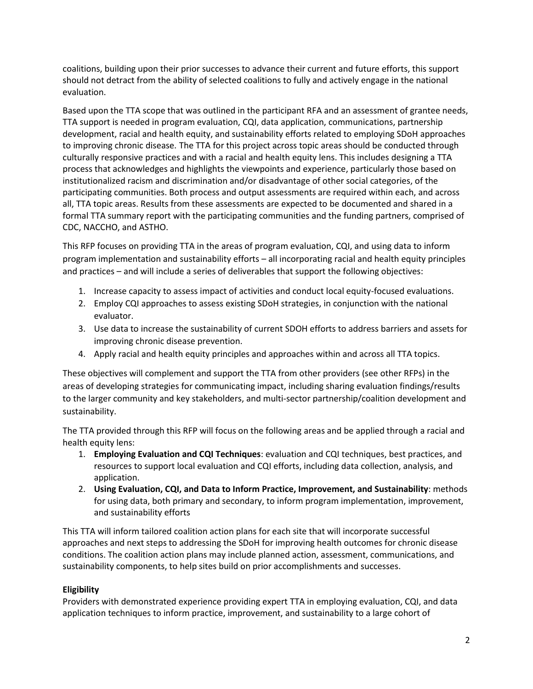coalitions, building upon their prior successes to advance their current and future efforts, this support should not detract from the ability of selected coalitions to fully and actively engage in the national evaluation.

Based upon the TTA scope that was outlined in the participant RFA and an assessment of grantee needs, TTA support is needed in program evaluation, CQI, data application, communications, partnership development, racial and health equity, and sustainability efforts related to employing SDoH approaches to improving chronic disease. The TTA for this project across topic areas should be conducted through culturally responsive practices and with a racial and health equity lens. This includes designing a TTA process that acknowledges and highlights the viewpoints and experience, particularly those based on institutionalized racism and discrimination and/or disadvantage of other social categories, of the participating communities. Both process and output assessments are required within each, and across all, TTA topic areas. Results from these assessments are expected to be documented and shared in a formal TTA summary report with the participating communities and the funding partners, comprised of CDC, NACCHO, and ASTHO.

This RFP focuses on providing TTA in the areas of program evaluation, CQI, and using data to inform program implementation and sustainability efforts – all incorporating racial and health equity principles and practices – and will include a series of deliverables that support the following objectives:

- 1. Increase capacity to assess impact of activities and conduct local equity-focused evaluations.
- 2. Employ CQI approaches to assess existing SDoH strategies, in conjunction with the national evaluator.
- 3. Use data to increase the sustainability of current SDOH efforts to address barriers and assets for improving chronic disease prevention.
- 4. Apply racial and health equity principles and approaches within and across all TTA topics.

These objectives will complement and support the TTA from other providers (see other RFPs) in the areas of developing strategies for communicating impact, including sharing evaluation findings/results to the larger community and key stakeholders, and multi-sector partnership/coalition development and sustainability.

The TTA provided through this RFP will focus on the following areas and be applied through a racial and health equity lens:

- 1. **Employing Evaluation and CQI Techniques**: evaluation and CQI techniques, best practices, and resources to support local evaluation and CQI efforts, including data collection, analysis, and application.
- 2. **Using Evaluation, CQI, and Data to Inform Practice, Improvement, and Sustainability**: methods for using data, both primary and secondary, to inform program implementation, improvement, and sustainability efforts

This TTA will inform tailored coalition action plans for each site that will incorporate successful approaches and next steps to addressing the SDoH for improving health outcomes for chronic disease conditions. The coalition action plans may include planned action, assessment, communications, and sustainability components, to help sites build on prior accomplishments and successes.

### **Eligibility**

Providers with demonstrated experience providing expert TTA in employing evaluation, CQI, and data application techniques to inform practice, improvement, and sustainability to a large cohort of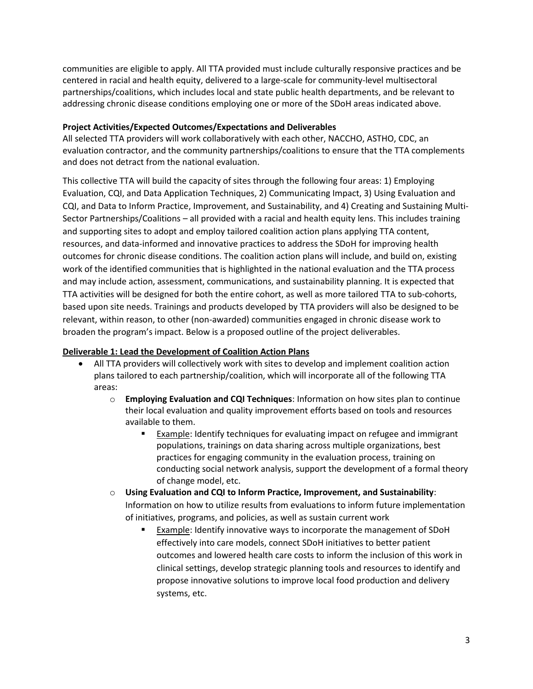communities are eligible to apply. All TTA provided must include culturally responsive practices and be centered in racial and health equity, delivered to a large-scale for community-level multisectoral partnerships/coalitions, which includes local and state public health departments, and be relevant to addressing chronic disease conditions employing one or more of the SDoH areas indicated above.

### **Project Activities/Expected Outcomes/Expectations and Deliverables**

All selected TTA providers will work collaboratively with each other, NACCHO, ASTHO, CDC, an evaluation contractor, and the community partnerships/coalitions to ensure that the TTA complements and does not detract from the national evaluation.

This collective TTA will build the capacity of sites through the following four areas: 1) Employing Evaluation, CQI, and Data Application Techniques, 2) Communicating Impact, 3) Using Evaluation and CQI, and Data to Inform Practice, Improvement, and Sustainability, and 4) Creating and Sustaining Multi-Sector Partnerships/Coalitions – all provided with a racial and health equity lens. This includes training and supporting sites to adopt and employ tailored coalition action plans applying TTA content, resources, and data-informed and innovative practices to address the SDoH for improving health outcomes for chronic disease conditions. The coalition action plans will include, and build on, existing work of the identified communities that is highlighted in the national evaluation and the TTA process and may include action, assessment, communications, and sustainability planning. It is expected that TTA activities will be designed for both the entire cohort, as well as more tailored TTA to sub-cohorts, based upon site needs. Trainings and products developed by TTA providers will also be designed to be relevant, within reason, to other (non-awarded) communities engaged in chronic disease work to broaden the program's impact. Below is a proposed outline of the project deliverables.

### **Deliverable 1: Lead the Development of Coalition Action Plans**

- All TTA providers will collectively work with sites to develop and implement coalition action plans tailored to each partnership/coalition, which will incorporate all of the following TTA areas:
	- o **Employing Evaluation and CQI Techniques**: Information on how sites plan to continue their local evaluation and quality improvement efforts based on tools and resources available to them.
		- **Example:** Identify techniques for evaluating impact on refugee and immigrant populations, trainings on data sharing across multiple organizations, best practices for engaging community in the evaluation process, training on conducting social network analysis, support the development of a formal theory of change model, etc.
	- o **Using Evaluation and CQI to Inform Practice, Improvement, and Sustainability**: Information on how to utilize results from evaluations to inform future implementation of initiatives, programs, and policies, as well as sustain current work
		- Example: Identify innovative ways to incorporate the management of SDoH effectively into care models, connect SDoH initiatives to better patient outcomes and lowered health care costs to inform the inclusion of this work in clinical settings, develop strategic planning tools and resources to identify and propose innovative solutions to improve local food production and delivery systems, etc.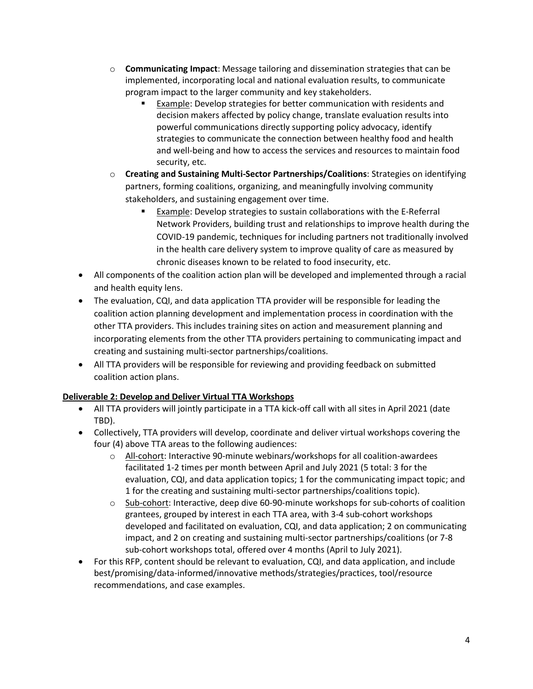- o **Communicating Impact**: Message tailoring and dissemination strategies that can be implemented, incorporating local and national evaluation results, to communicate program impact to the larger community and key stakeholders.
	- Example: Develop strategies for better communication with residents and decision makers affected by policy change, translate evaluation results into powerful communications directly supporting policy advocacy, identify strategies to communicate the connection between healthy food and health and well-being and how to access the services and resources to maintain food security, etc.
- o **Creating and Sustaining Multi-Sector Partnerships/Coalitions**: Strategies on identifying partners, forming coalitions, organizing, and meaningfully involving community stakeholders, and sustaining engagement over time.
	- Example: Develop strategies to sustain collaborations with the E-Referral Network Providers, building trust and relationships to improve health during the COVID-19 pandemic, techniques for including partners not traditionally involved in the health care delivery system to improve quality of care as measured by chronic diseases known to be related to food insecurity, etc.
- All components of the coalition action plan will be developed and implemented through a racial and health equity lens.
- The evaluation, CQI, and data application TTA provider will be responsible for leading the coalition action planning development and implementation process in coordination with the other TTA providers. This includes training sites on action and measurement planning and incorporating elements from the other TTA providers pertaining to communicating impact and creating and sustaining multi-sector partnerships/coalitions.
- All TTA providers will be responsible for reviewing and providing feedback on submitted coalition action plans.

# **Deliverable 2: Develop and Deliver Virtual TTA Workshops**

- All TTA providers will jointly participate in a TTA kick-off call with all sites in April 2021 (date TBD).
- Collectively, TTA providers will develop, coordinate and deliver virtual workshops covering the four (4) above TTA areas to the following audiences:
	- $\circ$  All-cohort: Interactive 90-minute webinars/workshops for all coalition-awardees facilitated 1-2 times per month between April and July 2021 (5 total: 3 for the evaluation, CQI, and data application topics; 1 for the communicating impact topic; and 1 for the creating and sustaining multi-sector partnerships/coalitions topic).
	- o Sub-cohort: Interactive, deep dive 60-90-minute workshops for sub-cohorts of coalition grantees, grouped by interest in each TTA area, with 3-4 sub-cohort workshops developed and facilitated on evaluation, CQI, and data application; 2 on communicating impact, and 2 on creating and sustaining multi-sector partnerships/coalitions (or 7-8 sub-cohort workshops total, offered over 4 months (April to July 2021).
- For this RFP, content should be relevant to evaluation, CQI, and data application, and include best/promising/data-informed/innovative methods/strategies/practices, tool/resource recommendations, and case examples.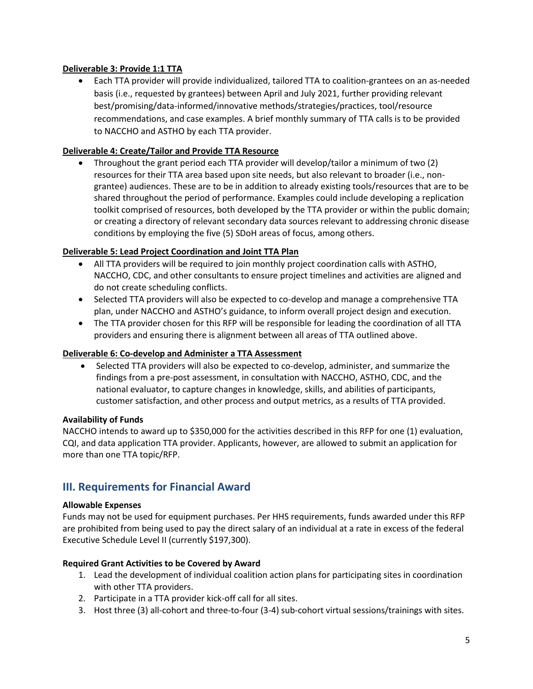### **Deliverable 3: Provide 1:1 TTA**

• Each TTA provider will provide individualized, tailored TTA to coalition-grantees on an as-needed basis (i.e., requested by grantees) between April and July 2021, further providing relevant best/promising/data-informed/innovative methods/strategies/practices, tool/resource recommendations, and case examples. A brief monthly summary of TTA calls is to be provided to NACCHO and ASTHO by each TTA provider.

### **Deliverable 4: Create/Tailor and Provide TTA Resource**

• Throughout the grant period each TTA provider will develop/tailor a minimum of two (2) resources for their TTA area based upon site needs, but also relevant to broader (i.e., nongrantee) audiences. These are to be in addition to already existing tools/resources that are to be shared throughout the period of performance. Examples could include developing a replication toolkit comprised of resources, both developed by the TTA provider or within the public domain; or creating a directory of relevant secondary data sources relevant to addressing chronic disease conditions by employing the five (5) SDoH areas of focus, among others.

### **Deliverable 5: Lead Project Coordination and Joint TTA Plan**

- All TTA providers will be required to join monthly project coordination calls with ASTHO, NACCHO, CDC, and other consultants to ensure project timelines and activities are aligned and do not create scheduling conflicts.
- Selected TTA providers will also be expected to co-develop and manage a comprehensive TTA plan, under NACCHO and ASTHO's guidance, to inform overall project design and execution.
- The TTA provider chosen for this RFP will be responsible for leading the coordination of all TTA providers and ensuring there is alignment between all areas of TTA outlined above.

### **Deliverable 6: Co-develop and Administer a TTA Assessment**

• Selected TTA providers will also be expected to co-develop, administer, and summarize the findings from a pre-post assessment, in consultation with NACCHO, ASTHO, CDC, and the national evaluator, to capture changes in knowledge, skills, and abilities of participants, customer satisfaction, and other process and output metrics, as a results of TTA provided.

### **Availability of Funds**

NACCHO intends to award up to \$350,000 for the activities described in this RFP for one (1) evaluation, CQI, and data application TTA provider. Applicants, however, are allowed to submit an application for more than one TTA topic/RFP.

# **III. Requirements for Financial Award**

### **Allowable Expenses**

Funds may not be used for equipment purchases. Per HHS requirements, funds awarded under this RFP are prohibited from being used to pay the direct salary of an individual at a rate in excess of the federal Executive Schedule Level II (currently \$197,300).

### **Required Grant Activities to be Covered by Award**

- 1. Lead the development of individual coalition action plans for participating sites in coordination with other TTA providers.
- 2. Participate in a TTA provider kick-off call for all sites.
- 3. Host three (3) all-cohort and three-to-four (3-4) sub-cohort virtual sessions/trainings with sites.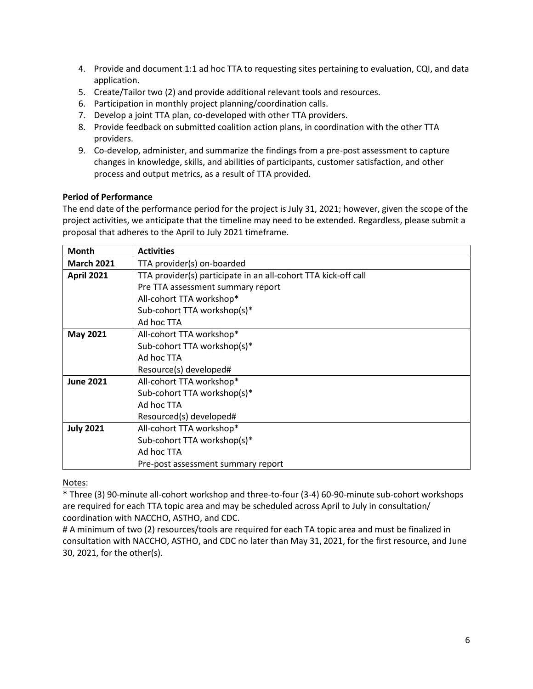- 4. Provide and document 1:1 ad hoc TTA to requesting sites pertaining to evaluation, CQI, and data application.
- 5. Create/Tailor two (2) and provide additional relevant tools and resources.
- 6. Participation in monthly project planning/coordination calls.
- 7. Develop a joint TTA plan, co-developed with other TTA providers.
- 8. Provide feedback on submitted coalition action plans, in coordination with the other TTA providers.
- 9. Co-develop, administer, and summarize the findings from a pre-post assessment to capture changes in knowledge, skills, and abilities of participants, customer satisfaction, and other process and output metrics, as a result of TTA provided.

### **Period of Performance**

The end date of the performance period for the project is July 31, 2021; however, given the scope of the project activities, we anticipate that the timeline may need to be extended. Regardless, please submit a proposal that adheres to the April to July 2021 timeframe.

| <b>Month</b>      | <b>Activities</b>                                              |  |  |  |  |  |
|-------------------|----------------------------------------------------------------|--|--|--|--|--|
| <b>March 2021</b> | TTA provider(s) on-boarded                                     |  |  |  |  |  |
| <b>April 2021</b> | TTA provider(s) participate in an all-cohort TTA kick-off call |  |  |  |  |  |
|                   | Pre TTA assessment summary report                              |  |  |  |  |  |
|                   | All-cohort TTA workshop*                                       |  |  |  |  |  |
|                   | Sub-cohort TTA workshop(s)*                                    |  |  |  |  |  |
|                   | Ad hoc TTA                                                     |  |  |  |  |  |
| <b>May 2021</b>   | All-cohort TTA workshop*                                       |  |  |  |  |  |
|                   | Sub-cohort TTA workshop(s)*                                    |  |  |  |  |  |
|                   | Ad hoc TTA                                                     |  |  |  |  |  |
|                   | Resource(s) developed#                                         |  |  |  |  |  |
| <b>June 2021</b>  | All-cohort TTA workshop*                                       |  |  |  |  |  |
|                   | Sub-cohort TTA workshop(s)*                                    |  |  |  |  |  |
|                   | Ad hoc TTA                                                     |  |  |  |  |  |
|                   | Resourced(s) developed#                                        |  |  |  |  |  |
| <b>July 2021</b>  | All-cohort TTA workshop*                                       |  |  |  |  |  |
|                   | Sub-cohort TTA workshop(s)*                                    |  |  |  |  |  |
|                   | Ad hoc TTA                                                     |  |  |  |  |  |
|                   | Pre-post assessment summary report                             |  |  |  |  |  |

Notes:

\* Three (3) 90-minute all-cohort workshop and three-to-four (3-4) 60-90-minute sub-cohort workshops are required for each TTA topic area and may be scheduled across April to July in consultation/ coordination with NACCHO, ASTHO, and CDC.

# A minimum of two (2) resources/tools are required for each TA topic area and must be finalized in consultation with NACCHO, ASTHO, and CDC no later than May 31, 2021, for the first resource, and June 30, 2021, for the other(s).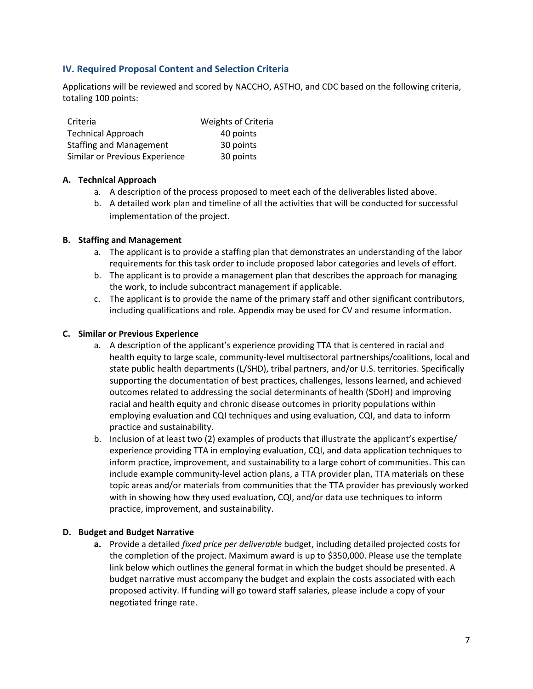## **IV. Required Proposal Content and Selection Criteria**

Applications will be reviewed and scored by NACCHO, ASTHO, and CDC based on the following criteria, totaling 100 points:

| Criteria                       | <b>Weights of Criteria</b> |
|--------------------------------|----------------------------|
| <b>Technical Approach</b>      | 40 points                  |
| <b>Staffing and Management</b> | 30 points                  |
| Similar or Previous Experience | 30 points                  |

### **A. Technical Approach**

- a. A description of the process proposed to meet each of the deliverables listed above.
- b. A detailed work plan and timeline of all the activities that will be conducted for successful implementation of the project.

### **B. Staffing and Management**

- a. The applicant is to provide a staffing plan that demonstrates an understanding of the labor requirements for this task order to include proposed labor categories and levels of effort.
- b. The applicant is to provide a management plan that describes the approach for managing the work, to include subcontract management if applicable.
- c. The applicant is to provide the name of the primary staff and other significant contributors, including qualifications and role. Appendix may be used for CV and resume information.

### **C. Similar or Previous Experience**

- a. A description of the applicant's experience providing TTA that is centered in racial and health equity to large scale, community-level multisectoral partnerships/coalitions, local and state public health departments (L/SHD), tribal partners, and/or U.S. territories. Specifically supporting the documentation of best practices, challenges, lessons learned, and achieved outcomes related to addressing the social determinants of health (SDoH) and improving racial and health equity and chronic disease outcomes in priority populations within employing evaluation and CQI techniques and using evaluation, CQI, and data to inform practice and sustainability.
- b. Inclusion of at least two (2) examples of products that illustrate the applicant's expertise/ experience providing TTA in employing evaluation, CQI, and data application techniques to inform practice, improvement, and sustainability to a large cohort of communities. This can include example community-level action plans, a TTA provider plan, TTA materials on these topic areas and/or materials from communities that the TTA provider has previously worked with in showing how they used evaluation, CQI, and/or data use techniques to inform practice, improvement, and sustainability.

### **D. Budget and Budget Narrative**

**a.** Provide a detailed *fixed price per deliverable* budget, including detailed projected costs for the completion of the project. Maximum award is up to \$350,000. Please use the template link below which outlines the general format in which the budget should be presented. A budget narrative must accompany the budget and explain the costs associated with each proposed activity. If funding will go toward staff salaries, please include a copy of your negotiated fringe rate.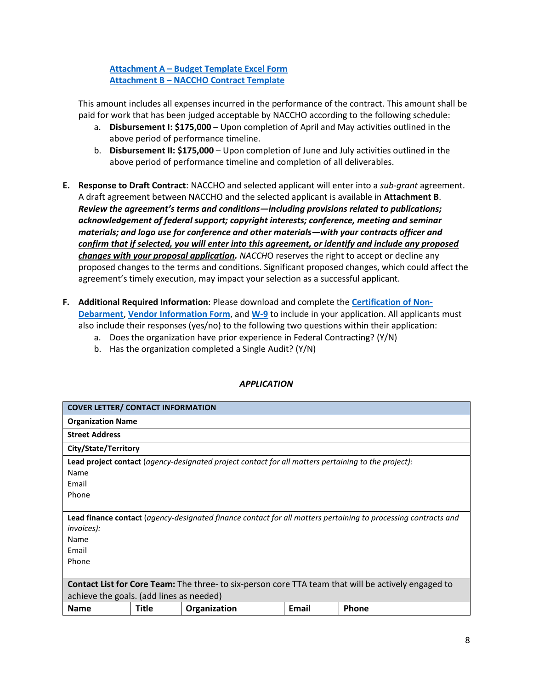**Attachment A – [Budget Template Excel Form](https://www.naccho.org/uploads/downloadable-resources/GFF-TTA-Budget-Template-and-Instructions.xlsx) Attachment B – [NACCHO Contract Template](https://www.naccho.org/uploads/downloadable-resources/NACCHO-Contract-Language.pdf)**

This amount includes all expenses incurred in the performance of the contract. This amount shall be paid for work that has been judged acceptable by NACCHO according to the following schedule:

- a. **Disbursement I: \$175,000** Upon completion of April and May activities outlined in the above period of performance timeline.
- b. **Disbursement II: \$175,000** Upon completion of June and July activities outlined in the above period of performance timeline and completion of all deliverables.
- **E. Response to Draft Contract**: NACCHO and selected applicant will enter into a *sub-grant* agreement. A draft agreement between NACCHO and the selected applicant is available in **Attachment B**. *Review the agreement's terms and conditions—including provisions related to publications; acknowledgement of federal support; copyright interests; conference, meeting and seminar materials; and logo use for conference and other materials—with your contracts officer and confirm that if selected, you will enter into this agreement, or identify and include any proposed changes with your proposal application. NACCH*O reserves the right to accept or decline any proposed changes to the terms and conditions. Significant proposed changes, which could affect the agreement's timely execution, may impact your selection as a successful applicant.
- **F. Additional Required Information**: Please download and complete the **[Certification of Non-](https://www.naccho.org/uploads/downloadable-resources/Certification-of-Non-Debarment.pdf)[Debarment](https://www.naccho.org/uploads/downloadable-resources/Certification-of-Non-Debarment.pdf)**, **[Vendor Information Form](https://www.naccho.org/uploads/downloadable-resources/Vendor-Form.pdf)**, and **[W-9](https://www.naccho.org/uploads/downloadable-resources/W-9-Blank.pdf)** to include in your application. All applicants must also include their responses (yes/no) to the following two questions within their application:
	- a. Does the organization have prior experience in Federal Contracting? (Y/N)
	- b. Has the organization completed a Single Audit? (Y/N)

| <b>COVER LETTER/ CONTACT INFORMATION</b>                                                                                                    |                      |              |       |       |  |  |  |  |
|---------------------------------------------------------------------------------------------------------------------------------------------|----------------------|--------------|-------|-------|--|--|--|--|
| <b>Organization Name</b>                                                                                                                    |                      |              |       |       |  |  |  |  |
| <b>Street Address</b>                                                                                                                       |                      |              |       |       |  |  |  |  |
|                                                                                                                                             | City/State/Territory |              |       |       |  |  |  |  |
| <b>Lead project contact</b> (agency-designated project contact for all matters pertaining to the project):                                  |                      |              |       |       |  |  |  |  |
| Name                                                                                                                                        |                      |              |       |       |  |  |  |  |
| Email                                                                                                                                       |                      |              |       |       |  |  |  |  |
| Phone                                                                                                                                       |                      |              |       |       |  |  |  |  |
|                                                                                                                                             |                      |              |       |       |  |  |  |  |
| <b>Lead finance contact</b> (agency-designated finance contact for all matters pertaining to processing contracts and<br><i>invoices</i> ): |                      |              |       |       |  |  |  |  |
| Name                                                                                                                                        |                      |              |       |       |  |  |  |  |
| Email                                                                                                                                       |                      |              |       |       |  |  |  |  |
| Phone                                                                                                                                       |                      |              |       |       |  |  |  |  |
|                                                                                                                                             |                      |              |       |       |  |  |  |  |
| <b>Contact List for Core Team:</b> The three- to six-person core TTA team that will be actively engaged to                                  |                      |              |       |       |  |  |  |  |
| achieve the goals. (add lines as needed)                                                                                                    |                      |              |       |       |  |  |  |  |
| <b>Name</b>                                                                                                                                 | Title                | Organization | Email | Phone |  |  |  |  |

# *APPLICATION*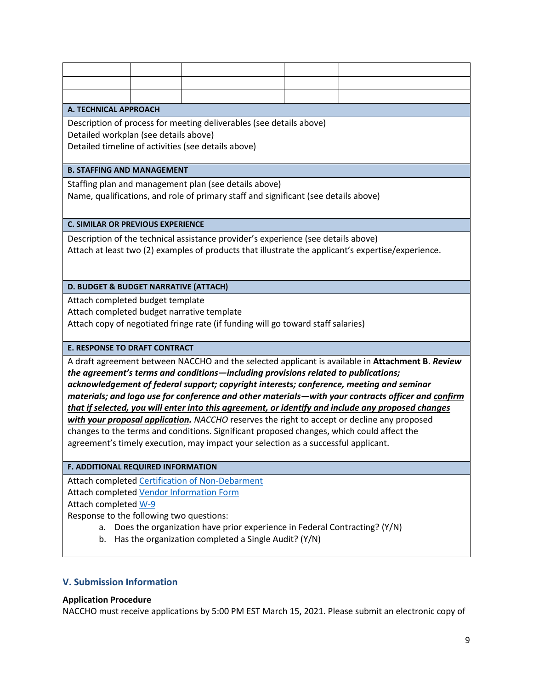#### **A. TECHNICAL APPROACH**

Description of process for meeting deliverables (see details above) Detailed workplan (see details above) Detailed timeline of activities (see details above)

### **B. STAFFING AND MANAGEMENT**

Staffing plan and management plan (see details above) Name, qualifications, and role of primary staff and significant (see details above)

#### **C. SIMILAR OR PREVIOUS EXPERIENCE**

Description of the technical assistance provider's experience (see details above) Attach at least two (2) examples of products that illustrate the applicant's expertise/experience.

#### **D. BUDGET & BUDGET NARRATIVE (ATTACH)**

Attach completed budget template

Attach completed budget narrative template

Attach copy of negotiated fringe rate (if funding will go toward staff salaries)

### **E. RESPONSE TO DRAFT CONTRACT**

A draft agreement between NACCHO and the selected applicant is available in **Attachment B**. *Review the agreement's terms and conditions—including provisions related to publications; acknowledgement of federal support; copyright interests; conference, meeting and seminar materials; and logo use for conference and other materials—with your contracts officer and confirm that if selected, you will enter into this agreement, or identify and include any proposed changes with your proposal application. NACCHO* reserves the right to accept or decline any proposed changes to the terms and conditions. Significant proposed changes, which could affect the agreement's timely execution, may impact your selection as a successful applicant.

#### **F. ADDITIONAL REQUIRED INFORMATION**

Attach completed [Certification of Non-Debarment](https://www.naccho.org/uploads/downloadable-resources/Certification-of-Non-Debarment.pdf) Attach completed [Vendor Information Form](https://www.naccho.org/uploads/downloadable-resources/Vendor-Form.pdf) Attach completed [W-9](https://www.naccho.org/uploads/downloadable-resources/W-9-Blank.pdf)

Response to the following two questions:

- a. Does the organization have prior experience in Federal Contracting? (Y/N)
- b. Has the organization completed a Single Audit? (Y/N)

### **V. Submission Information**

### **Application Procedure**

NACCHO must receive applications by 5:00 PM EST March 15, 2021. Please submit an electronic copy of